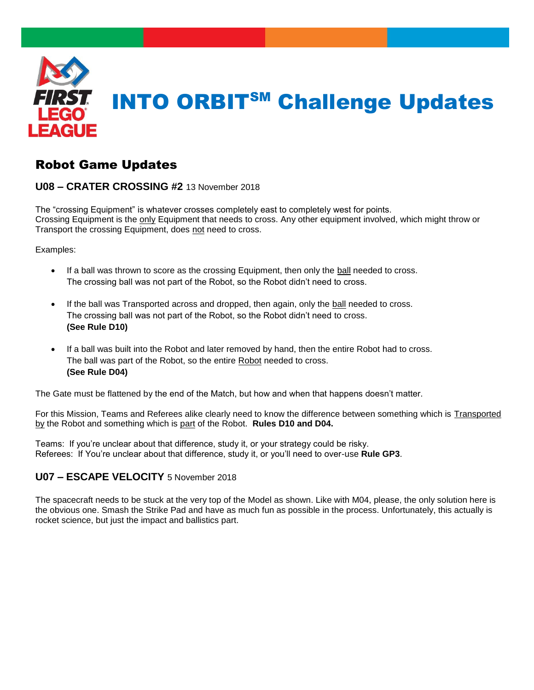

# Robot Game Updates

## **U08 – CRATER CROSSING #2** 13 November 2018

The "crossing Equipment" is whatever crosses completely east to completely west for points. Crossing Equipment is the only Equipment that needs to cross. Any other equipment involved, which might throw or Transport the crossing Equipment, does not need to cross.

Examples:

- If a ball was thrown to score as the crossing Equipment, then only the ball needed to cross. The crossing ball was not part of the Robot, so the Robot didn't need to cross.
- If the ball was Transported across and dropped, then again, only the ball needed to cross. The crossing ball was not part of the Robot, so the Robot didn't need to cross. **(See Rule D10)**
- If a ball was built into the Robot and later removed by hand, then the entire Robot had to cross. The ball was part of the Robot, so the entire Robot needed to cross. **(See Rule D04)**

The Gate must be flattened by the end of the Match, but how and when that happens doesn't matter.

For this Mission, Teams and Referees alike clearly need to know the difference between something which is Transported by the Robot and something which is part of the Robot. **Rules D10 and D04.**

Teams: If you're unclear about that difference, study it, or your strategy could be risky. Referees: If You're unclear about that difference, study it, or you'll need to over-use **Rule GP3**.

# **U07 – ESCAPE VELOCITY** 5 November 2018

The spacecraft needs to be stuck at the very top of the Model as shown. Like with M04, please, the only solution here is the obvious one. Smash the Strike Pad and have as much fun as possible in the process. Unfortunately, this actually is rocket science, but just the impact and ballistics part.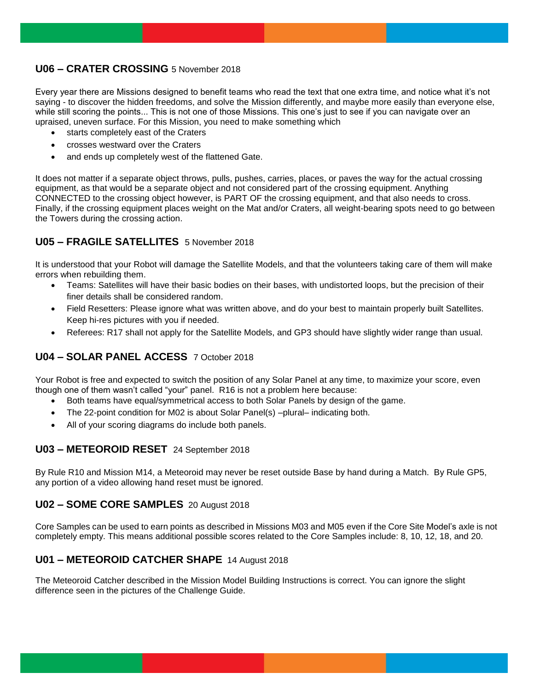## **U06 – CRATER CROSSING** 5 November 2018

Every year there are Missions designed to benefit teams who read the text that one extra time, and notice what it's not saying - to discover the hidden freedoms, and solve the Mission differently, and maybe more easily than everyone else, while still scoring the points... This is not one of those Missions. This one's just to see if you can navigate over an upraised, uneven surface. For this Mission, you need to make something which

- starts completely east of the Craters
- crosses westward over the Craters
- and ends up completely west of the flattened Gate.

It does not matter if a separate object throws, pulls, pushes, carries, places, or paves the way for the actual crossing equipment, as that would be a separate object and not considered part of the crossing equipment. Anything CONNECTED to the crossing object however, is PART OF the crossing equipment, and that also needs to cross. Finally, if the crossing equipment places weight on the Mat and/or Craters, all weight-bearing spots need to go between the Towers during the crossing action.

## **U05 – FRAGILE SATELLITES** 5 November 2018

It is understood that your Robot will damage the Satellite Models, and that the volunteers taking care of them will make errors when rebuilding them.

- Teams: Satellites will have their basic bodies on their bases, with undistorted loops, but the precision of their finer details shall be considered random.
- Field Resetters: Please ignore what was written above, and do your best to maintain properly built Satellites. Keep hi-res pictures with you if needed.
- Referees: R17 shall not apply for the Satellite Models, and GP3 should have slightly wider range than usual.

# **U04 – SOLAR PANEL ACCESS** 7 October 2018

Your Robot is free and expected to switch the position of any Solar Panel at any time, to maximize your score, even though one of them wasn't called "your" panel. R16 is not a problem here because:

- Both teams have equal/symmetrical access to both Solar Panels by design of the game.
- The 22-point condition for M02 is about Solar Panel(s) –plural– indicating both.
- All of your scoring diagrams do include both panels.

## **U03 – METEOROID RESET** 24 September 2018

By Rule R10 and Mission M14, a Meteoroid may never be reset outside Base by hand during a Match. By Rule GP5, any portion of a video allowing hand reset must be ignored.

#### **U02 – SOME CORE SAMPLES** 20 August 2018

Core Samples can be used to earn points as described in Missions M03 and M05 even if the Core Site Model's axle is not completely empty. This means additional possible scores related to the Core Samples include: 8, 10, 12, 18, and 20.

## **U01 – METEOROID CATCHER SHAPE** 14 August 2018

The Meteoroid Catcher described in the Mission Model Building Instructions is correct. You can ignore the slight difference seen in the pictures of the Challenge Guide.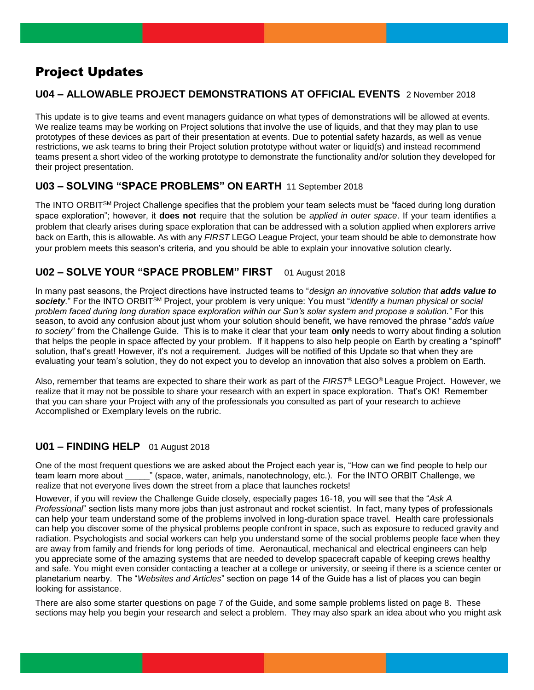# Project Updates

# **U04 – ALLOWABLE PROJECT DEMONSTRATIONS AT OFFICIAL EVENTS** 2 November 2018

This update is to give teams and event managers guidance on what types of demonstrations will be allowed at events. We realize teams may be working on Project solutions that involve the use of liquids, and that they may plan to use prototypes of these devices as part of their presentation at events. Due to potential safety hazards, as well as venue restrictions, we ask teams to bring their Project solution prototype without water or liquid(s) and instead recommend teams present a short video of the working prototype to demonstrate the functionality and/or solution they developed for their project presentation.

# **U03 – SOLVING "SPACE PROBLEMS" ON EARTH** 11 September 2018

The INTO ORBIT<sup>SM</sup> Project Challenge specifies that the problem your team selects must be "faced during long duration space exploration"; however, it **does not** require that the solution be *applied in outer space*. If your team identifies a problem that clearly arises during space exploration that can be addressed with a solution applied when explorers arrive back on Earth, this is allowable. As with any *FIRST* LEGO League Project, your team should be able to demonstrate how your problem meets this season's criteria, and you should be able to explain your innovative solution clearly.

# **U02 – SOLVE YOUR "SPACE PROBLEM" FIRST** 01 August 2018

In many past seasons, the Project directions have instructed teams to "*design an innovative solution that adds value to society.*" For the INTO ORBITSM Project, your problem is very unique: You must "*identify a human physical or social problem faced during long duration space exploration within our Sun's solar system and propose a solution.*" For this season, to avoid any confusion about just whom your solution should benefit, we have removed the phrase "*adds value to society*" from the Challenge Guide. This is to make it clear that your team **only** needs to worry about finding a solution that helps the people in space affected by your problem. If it happens to also help people on Earth by creating a "spinoff" solution, that's great! However, it's not a requirement. Judges will be notified of this Update so that when they are evaluating your team's solution, they do not expect you to develop an innovation that also solves a problem on Earth.

Also, remember that teams are expected to share their work as part of the *FIRST®* LEGO® League Project. However, we realize that it may not be possible to share your research with an expert in space exploration. That's OK! Remember that you can share your Project with any of the professionals you consulted as part of your research to achieve Accomplished or Exemplary levels on the rubric.

# **U01 – FINDING HELP** 01 August 2018

One of the most frequent questions we are asked about the Project each year is, "How can we find people to help our team learn more about " (space, water, animals, nanotechnology, etc.). For the INTO ORBIT Challenge, we realize that not everyone lives down the street from a place that launches rockets!

However, if you will review the Challenge Guide closely, especially pages 16-18, you will see that the "*Ask A Professional*" section lists many more jobs than just astronaut and rocket scientist. In fact, many types of professionals can help your team understand some of the problems involved in long-duration space travel. Health care professionals can help you discover some of the physical problems people confront in space, such as exposure to reduced gravity and radiation. Psychologists and social workers can help you understand some of the social problems people face when they are away from family and friends for long periods of time. Aeronautical, mechanical and electrical engineers can help you appreciate some of the amazing systems that are needed to develop spacecraft capable of keeping crews healthy and safe. You might even consider contacting a teacher at a college or university, or seeing if there is a science center or planetarium nearby. The "*Websites and Articles*" section on page 14 of the Guide has a list of places you can begin looking for assistance.

There are also some starter questions on page 7 of the Guide, and some sample problems listed on page 8. These sections may help you begin your research and select a problem. They may also spark an idea about who you might ask